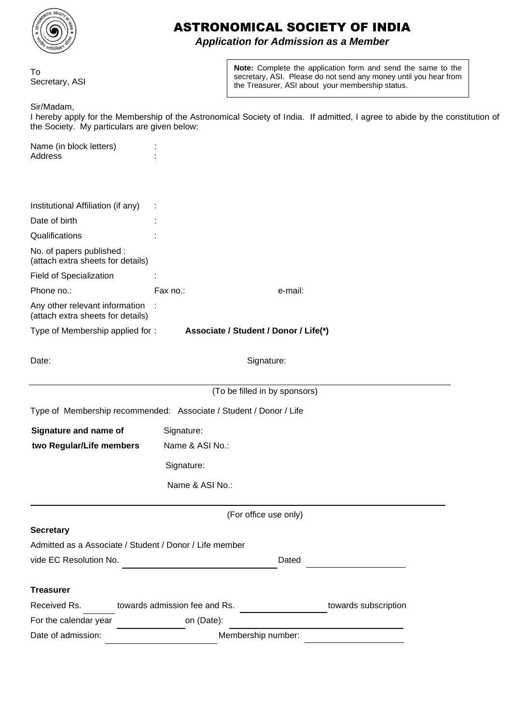

## ASTRONOMICAL SOCIETY OF INDIA

*Application for Admission as a Member*

To Secretary, ASI **Note:** Complete the application form and send the same to the secretary, ASI. Please do not send any money until you hear from the Treasurer, ASI about your membership status.

Sir/Madam,

I hereby apply for the Membership of the Astronomical Society of India. If admitted, I agree to abide by the constitution of the Society. My particulars are given below:

| Name (in block letters) |  |
|-------------------------|--|
| Address                 |  |
|                         |  |

| Institutional Affiliation (if any)                                  |                                                                    |                                       |                      |  |  |
|---------------------------------------------------------------------|--------------------------------------------------------------------|---------------------------------------|----------------------|--|--|
| Date of birth                                                       |                                                                    |                                       |                      |  |  |
| Qualifications                                                      |                                                                    |                                       |                      |  |  |
| No. of papers published :<br>(attach extra sheets for details)      |                                                                    |                                       |                      |  |  |
| Field of Specialization                                             |                                                                    |                                       |                      |  |  |
| Phone no.:                                                          | Fax no.:                                                           | e-mail:                               |                      |  |  |
| Any other relevant information<br>(attach extra sheets for details) |                                                                    |                                       |                      |  |  |
| Type of Membership applied for:                                     |                                                                    | Associate / Student / Donor / Life(*) |                      |  |  |
| Date:                                                               | Signature:                                                         |                                       |                      |  |  |
|                                                                     |                                                                    |                                       |                      |  |  |
|                                                                     |                                                                    | (To be filled in by sponsors)         |                      |  |  |
|                                                                     | Type of Membership recommended: Associate / Student / Donor / Life |                                       |                      |  |  |
| Signature and name of                                               | Signature:                                                         |                                       |                      |  |  |
| two Regular/Life members                                            | Name & ASI No.:                                                    |                                       |                      |  |  |
|                                                                     | Signature:                                                         |                                       |                      |  |  |
|                                                                     | Name & ASI No.:                                                    |                                       |                      |  |  |
|                                                                     | (For office use only)                                              |                                       |                      |  |  |
| <b>Secretary</b>                                                    |                                                                    |                                       |                      |  |  |
|                                                                     | Admitted as a Associate / Student / Donor / Life member            |                                       |                      |  |  |
| vide EC Resolution No.                                              |                                                                    | Dated                                 |                      |  |  |
|                                                                     |                                                                    |                                       |                      |  |  |
| <b>Treasurer</b>                                                    |                                                                    |                                       |                      |  |  |
| Received Rs.                                                        | towards admission fee and Rs.                                      |                                       | towards subscription |  |  |
| For the calendar year                                               | on (Date):                                                         |                                       |                      |  |  |
| Date of admission:                                                  | Membership number:                                                 |                                       |                      |  |  |